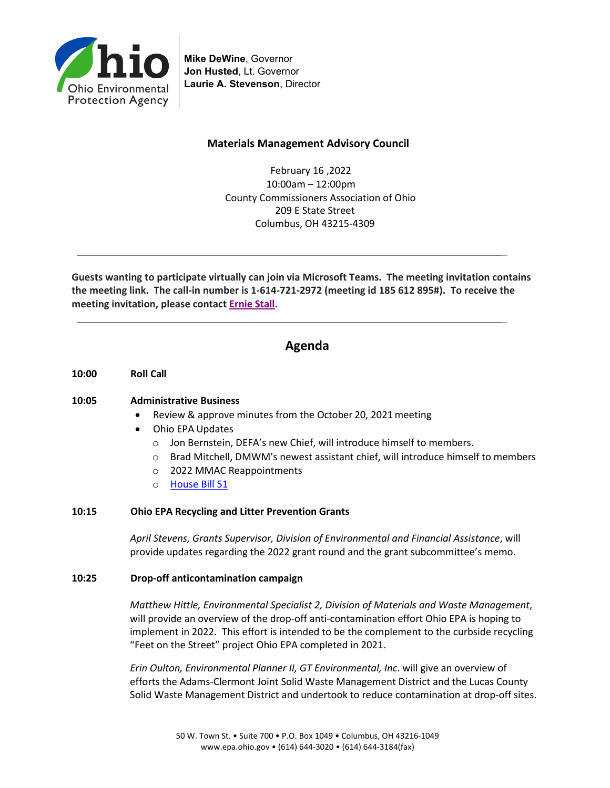

**Mike DeWine**, Governor **Jon Husted**, Lt. Governor **Laurie A. Stevenson**, Director

## **Materials Management Advisory Council**

February 16 ,2022 10:00am – 12:00pm County Commissioners Association of Ohio 209 E State Street Columbus, OH 43215-4309

\_

\_

**Guests wanting to participate virtually can join via Microsoft Teams. The meeting invitation contains the meeting link. The call-in number is 1-614-721-2972 (meeting id 185 612 895#). To receive the meeting invitation, please contact [Ernie Stall.](mailto:ernest.stall@epa.ohio.gov)**

# **Agenda**

**10:00 Roll Call** 

## **10:05 Administrative Business**

- Review & approve minutes from the October 20, 2021 meeting
- Ohio EPA Updates
	- o Jon Bernstein, DEFA's new Chief, will introduce himself to members.
	- $\circ$  Brad Mitchell, DMWM's newest assistant chief, will introduce himself to members
	- o 2022 MMAC Reappointments
	- o [House Bill](https://www.legislature.ohio.gov/legislation/legislation-summary?id=GA134-HB-51) 51

## **10:15 Ohio EPA Recycling and Litter Prevention Grants**

*April Stevens, Grants Supervisor, Division of Environmental and Financial Assistance*, will provide updates regarding the 2022 grant round and the grant subcommittee's memo.

#### **10:25 Drop-off anticontamination campaign**

*Matthew Hittle, Environmental Specialist 2, Division of Materials and Waste Management*, will provide an overview of the drop-off anti-contamination effort Ohio EPA is hoping to implement in 2022. This effort is intended to be the complement to the curbside recycling "Feet on the Street" project Ohio EPA completed in 2021.

*Erin Oulton, Environmental Planner II, GT Environmental, Inc*. will give an overview of efforts the Adams-Clermont Joint Solid Waste Management District and the Lucas County Solid Waste Management District and undertook to reduce contamination at drop-off sites.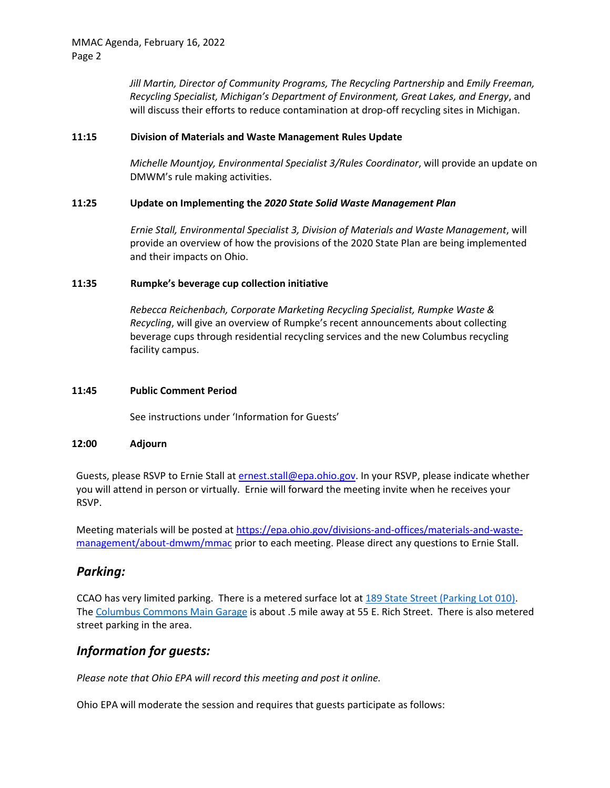*Jill Martin, Director of Community Programs, The Recycling Partnership* and *Emily Freeman, Recycling Specialist, Michigan's Department of Environment, Great Lakes, and Energy*, and will discuss their efforts to reduce contamination at drop-off recycling sites in Michigan.

#### **11:15 Division of Materials and Waste Management Rules Update**

*Michelle Mountjoy, Environmental Specialist 3/Rules Coordinator*, will provide an update on DMWM's rule making activities.

## **11:25 Update on Implementing the** *2020 State Solid Waste Management Plan*

*Ernie Stall, Environmental Specialist 3, Division of Materials and Waste Management*, will provide an overview of how the provisions of the 2020 State Plan are being implemented and their impacts on Ohio.

#### **11:35 Rumpke's beverage cup collection initiative**

*Rebecca Reichenbach, Corporate Marketing Recycling Specialist, Rumpke Waste & Recycling*, will give an overview of Rumpke's recent announcements about collecting beverage cups through residential recycling services and the new Columbus recycling facility campus.

#### **11:45 Public Comment Period**

See instructions under 'Information for Guests'

#### **12:00 Adjourn**

Guests, please RSVP to Ernie Stall a[t ernest.stall@epa.ohio.gov.](mailto:ernest.stall@epa.ohio.gov) In your RSVP, please indicate whether you will attend in person or virtually. Ernie will forward the meeting invite when he receives your RSVP.

Meeting materials will be posted at [https://epa.ohio.gov/divisions-and-offices/materials-and-waste](https://epa.ohio.gov/divisions-and-offices/materials-and-waste-management/about-dmwm/mmac)[management/about-dmwm/mmac](https://epa.ohio.gov/divisions-and-offices/materials-and-waste-management/about-dmwm/mmac) prior to each meeting. Please direct any questions to Ernie Stall.

## *Parking:*

CCAO has very limited parking. There is a metered surface lot at [189 State Street \(Parking Lot 010\).](https://www.google.com/maps/dir/Parking+Lot+010,+189+E+State+St,+Columbus,+OH+43215/@39.960649,-82.9972437,17z/data=!4m8!4m7!1m0!1m5!1m1!1s0x88388f336ca2c7a9:0x6fb5cbeda1972c6f!2m2!1d-82.995055!2d39.960649) The [Columbus Commons Main Garage](https://www.google.com/maps/dir/39.9611755,-82.9987942/columbus+commons+main+garage/@39.9588418,-83.0000624,17z/data=!3m1!4b1!4m9!4m8!1m1!4e1!1m5!1m1!1s0x88388f3656a0c6bd:0x792e2e4b04d6d5ce!2m2!1d-82.998142!2d39.9565409) is about .5 mile away at 55 E. Rich Street. There is also metered street parking in the area.

# *Information for guests:*

*Please note that Ohio EPA will record this meeting and post it online.*

Ohio EPA will moderate the session and requires that guests participate as follows: